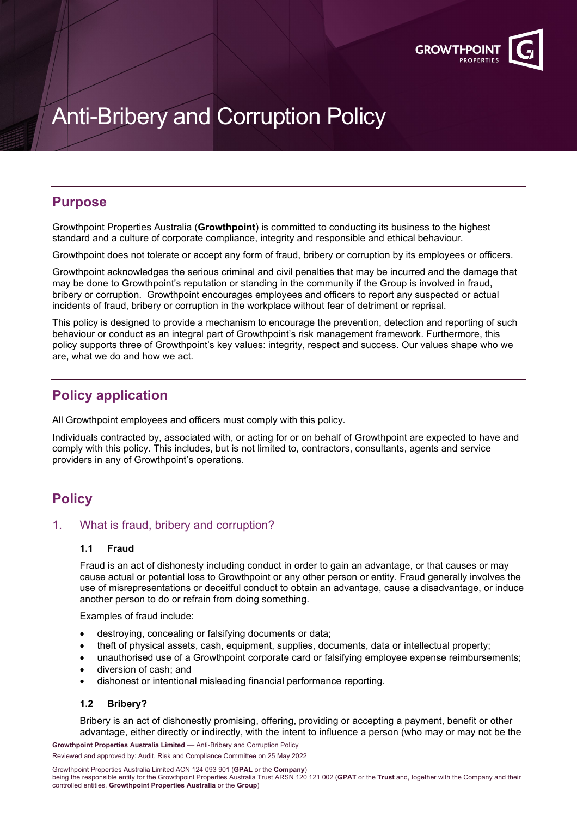

# Anti-Bribery and Corruption Policy

# **Purpose**

Growthpoint Properties Australia (**Growthpoint**) is committed to conducting its business to the highest standard and a culture of corporate compliance, integrity and responsible and ethical behaviour.

Growthpoint does not tolerate or accept any form of fraud, bribery or corruption by its employees or officers.

Growthpoint acknowledges the serious criminal and civil penalties that may be incurred and the damage that may be done to Growthpoint's reputation or standing in the community if the Group is involved in fraud, bribery or corruption. Growthpoint encourages employees and officers to report any suspected or actual incidents of fraud, bribery or corruption in the workplace without fear of detriment or reprisal.

This policy is designed to provide a mechanism to encourage the prevention, detection and reporting of such behaviour or conduct as an integral part of Growthpoint's risk management framework. Furthermore, this policy supports three of Growthpoint's key values: integrity, respect and success. Our values shape who we are, what we do and how we act.

# **Policy application**

All Growthpoint employees and officers must comply with this policy.

Individuals contracted by, associated with, or acting for or on behalf of Growthpoint are expected to have and comply with this policy. This includes, but is not limited to, contractors, consultants, agents and service providers in any of Growthpoint's operations.

# **Policy**

## 1. What is fraud, bribery and corruption?

#### **1.1 Fraud**

Fraud is an act of dishonesty including conduct in order to gain an advantage, or that causes or may cause actual or potential loss to Growthpoint or any other person or entity. Fraud generally involves the use of misrepresentations or deceitful conduct to obtain an advantage, cause a disadvantage, or induce another person to do or refrain from doing something.

Examples of fraud include:

- destroying, concealing or falsifying documents or data;
- theft of physical assets, cash, equipment, supplies, documents, data or intellectual property;
- unauthorised use of a Growthpoint corporate card or falsifying employee expense reimbursements; • diversion of cash; and
- dishonest or intentional misleading financial performance reporting.

#### **1.2 Bribery?**

Bribery is an act of dishonestly promising, offering, providing or accepting a payment, benefit or other advantage, either directly or indirectly, with the intent to influence a person (who may or may not be the

**Growthpoint Properties Australia Limited** –– Anti-Bribery and Corruption Policy Reviewed and approved by: Audit, Risk and Compliance Committee on 25 May 2022

Growthpoint Properties Australia Limited ACN 124 093 901 (**GPAL** or the **Company**) being the responsible entity for the Growthpoint Properties Australia Trust ARSN 120 121 002 (**GPAT** or the **Trust** and, together with the Company and their controlled entities, **Growthpoint Properties Australia** or the **Group**)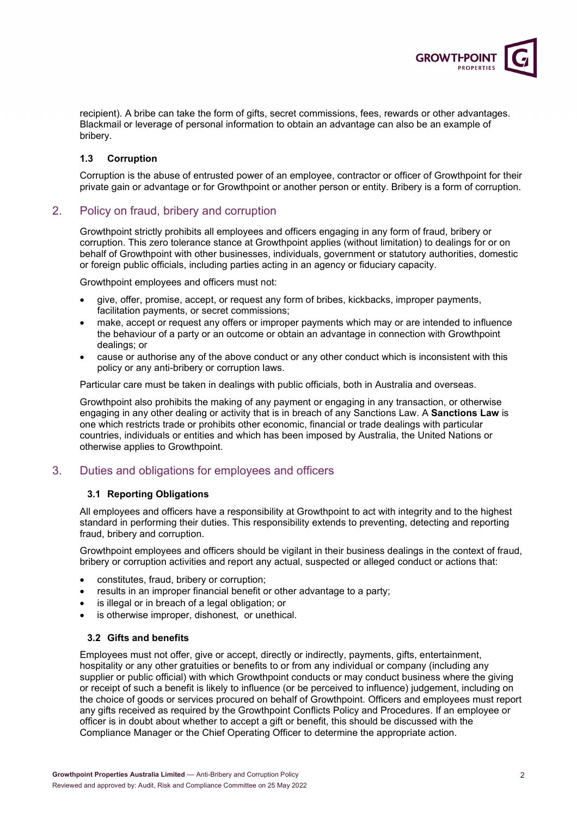

recipient). A bribe can take the form of gifts, secret commissions, fees, rewards or other advantages. Blackmail or leverage of personal information to obtain an advantage can also be an example of bribery.

#### **1.3 Corruption**

Corruption is the abuse of entrusted power of an employee, contractor or officer of Growthpoint for their private gain or advantage or for Growthpoint or another person or entity. Bribery is a form of corruption.

## 2. Policy on fraud, bribery and corruption

Growthpoint strictly prohibits all employees and officers engaging in any form of fraud, bribery or corruption. This zero tolerance stance at Growthpoint applies (without limitation) to dealings for or on behalf of Growthpoint with other businesses, individuals, government or statutory authorities, domestic or foreign public officials, including parties acting in an agency or fiduciary capacity.

Growthpoint employees and officers must not:

- give, offer, promise, accept, or request any form of bribes, kickbacks, improper payments, facilitation payments, or secret commissions;
- make, accept or request any offers or improper payments which may or are intended to influence the behaviour of a party or an outcome or obtain an advantage in connection with Growthpoint dealings; or
- cause or authorise any of the above conduct or any other conduct which is inconsistent with this policy or any anti-bribery or corruption laws.

Particular care must be taken in dealings with public officials, both in Australia and overseas.

Growthpoint also prohibits the making of any payment or engaging in any transaction, or otherwise engaging in any other dealing or activity that is in breach of any Sanctions Law. A **Sanctions Law** is one which restricts trade or prohibits other economic, financial or trade dealings with particular countries, individuals or entities and which has been imposed by Australia, the United Nations or otherwise applies to Growthpoint.

## 3. Duties and obligations for employees and officers

#### **3.1 Reporting Obligations**

All employees and officers have a responsibility at Growthpoint to act with integrity and to the highest standard in performing their duties. This responsibility extends to preventing, detecting and reporting fraud, bribery and corruption.

Growthpoint employees and officers should be vigilant in their business dealings in the context of fraud, bribery or corruption activities and report any actual, suspected or alleged conduct or actions that:

- constitutes, fraud, bribery or corruption;
- results in an improper financial benefit or other advantage to a party:
- is illegal or in breach of a legal obligation; or
- is otherwise improper, dishonest, or unethical.

#### **3.2 Gifts and benefits**

Employees must not offer, give or accept, directly or indirectly, payments, gifts, entertainment, hospitality or any other gratuities or benefits to or from any individual or company (including any supplier or public official) with which Growthpoint conducts or may conduct business where the giving or receipt of such a benefit is likely to influence (or be perceived to influence) judgement, including on the choice of goods or services procured on behalf of Growthpoint. Officers and employees must report any gifts received as required by the Growthpoint Conflicts Policy and Procedures. If an employee or officer is in doubt about whether to accept a gift or benefit, this should be discussed with the Compliance Manager or the Chief Operating Officer to determine the appropriate action.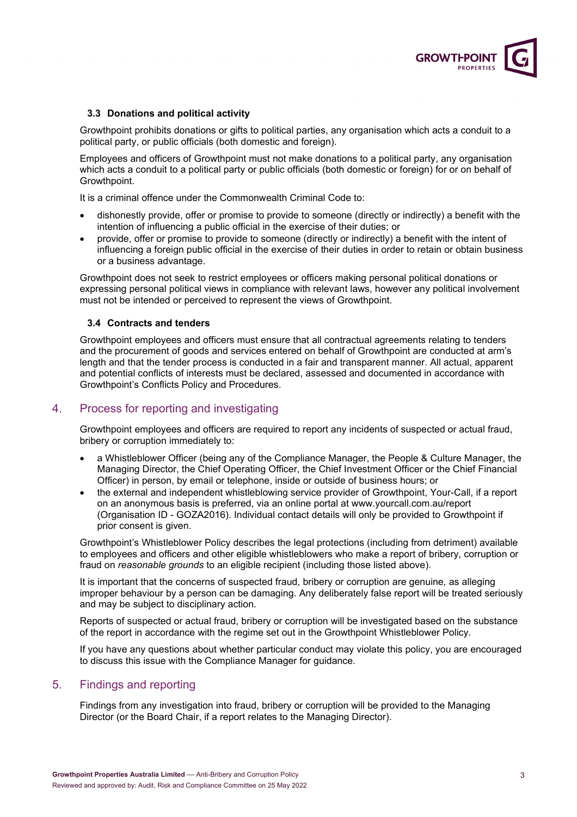

#### **3.3 Donations and political activity**

Growthpoint prohibits donations or gifts to political parties, any organisation which acts a conduit to a political party, or public officials (both domestic and foreign).

Employees and officers of Growthpoint must not make donations to a political party, any organisation which acts a conduit to a political party or public officials (both domestic or foreign) for or on behalf of Growthpoint.

It is a criminal offence under the Commonwealth Criminal Code to:

- dishonestly provide, offer or promise to provide to someone (directly or indirectly) a benefit with the intention of influencing a public official in the exercise of their duties; or
- provide, offer or promise to provide to someone (directly or indirectly) a benefit with the intent of influencing a foreign public official in the exercise of their duties in order to retain or obtain business or a business advantage.

Growthpoint does not seek to restrict employees or officers making personal political donations or expressing personal political views in compliance with relevant laws, however any political involvement must not be intended or perceived to represent the views of Growthpoint.

#### **3.4 Contracts and tenders**

Growthpoint employees and officers must ensure that all contractual agreements relating to tenders and the procurement of goods and services entered on behalf of Growthpoint are conducted at arm's length and that the tender process is conducted in a fair and transparent manner. All actual, apparent and potential conflicts of interests must be declared, assessed and documented in accordance with Growthpoint's Conflicts Policy and Procedures.

## 4. Process for reporting and investigating

Growthpoint employees and officers are required to report any incidents of suspected or actual fraud, bribery or corruption immediately to:

- a Whistleblower Officer (being any of the Compliance Manager, the People & Culture Manager, the Managing Director, the Chief Operating Officer, the Chief Investment Officer or the Chief Financial Officer) in person, by email or telephone, inside or outside of business hours; or
- the external and independent whistleblowing service provider of Growthpoint, Your-Call, if a report on an anonymous basis is preferred, via an online portal at www.yourcall.com.au/report (Organisation ID - GOZA2016). Individual contact details will only be provided to Growthpoint if prior consent is given.

Growthpoint's Whistleblower Policy describes the legal protections (including from detriment) available to employees and officers and other eligible whistleblowers who make a report of bribery, corruption or fraud on *reasonable grounds* to an eligible recipient (including those listed above).

It is important that the concerns of suspected fraud, bribery or corruption are genuine*,* as alleging improper behaviour by a person can be damaging. Any deliberately false report will be treated seriously and may be subject to disciplinary action.

Reports of suspected or actual fraud, bribery or corruption will be investigated based on the substance of the report in accordance with the regime set out in the Growthpoint Whistleblower Policy.

If you have any questions about whether particular conduct may violate this policy, you are encouraged to discuss this issue with the Compliance Manager for guidance.

## 5. Findings and reporting

Findings from any investigation into fraud, bribery or corruption will be provided to the Managing Director (or the Board Chair, if a report relates to the Managing Director).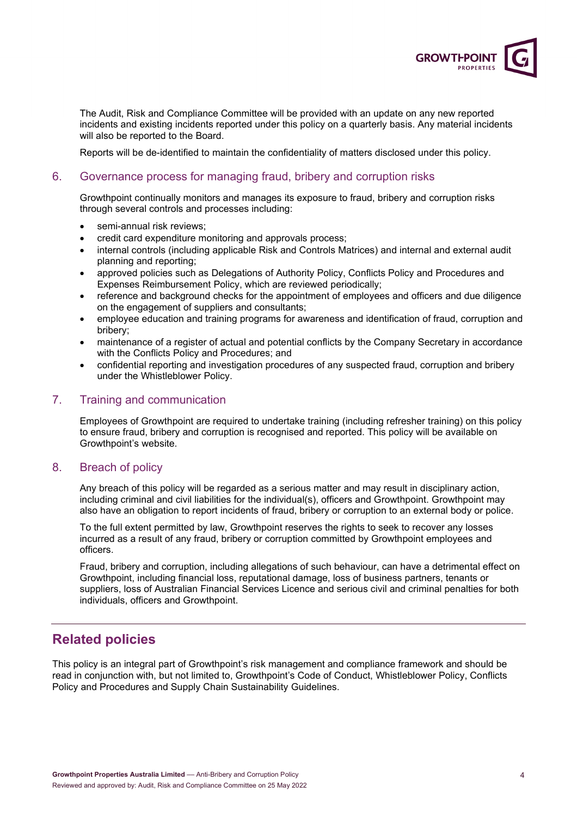

The Audit, Risk and Compliance Committee will be provided with an update on any new reported incidents and existing incidents reported under this policy on a quarterly basis. Any material incidents will also be reported to the Board.

Reports will be de-identified to maintain the confidentiality of matters disclosed under this policy.

## 6. Governance process for managing fraud, bribery and corruption risks

Growthpoint continually monitors and manages its exposure to fraud, bribery and corruption risks through several controls and processes including:

- semi-annual risk reviews:
- credit card expenditure monitoring and approvals process;
- internal controls (including applicable Risk and Controls Matrices) and internal and external audit planning and reporting;
- approved policies such as Delegations of Authority Policy, Conflicts Policy and Procedures and Expenses Reimbursement Policy, which are reviewed periodically;
- reference and background checks for the appointment of employees and officers and due diligence on the engagement of suppliers and consultants;
- employee education and training programs for awareness and identification of fraud, corruption and bribery;
- maintenance of a register of actual and potential conflicts by the Company Secretary in accordance with the Conflicts Policy and Procedures; and
- confidential reporting and investigation procedures of any suspected fraud, corruption and bribery under the Whistleblower Policy.

## 7. Training and communication

Employees of Growthpoint are required to undertake training (including refresher training) on this policy to ensure fraud, bribery and corruption is recognised and reported. This policy will be available on Growthpoint's website.

#### 8. Breach of policy

Any breach of this policy will be regarded as a serious matter and may result in disciplinary action, including criminal and civil liabilities for the individual(s), officers and Growthpoint. Growthpoint may also have an obligation to report incidents of fraud, bribery or corruption to an external body or police.

To the full extent permitted by law, Growthpoint reserves the rights to seek to recover any losses incurred as a result of any fraud, bribery or corruption committed by Growthpoint employees and officers.

Fraud, bribery and corruption, including allegations of such behaviour, can have a detrimental effect on Growthpoint, including financial loss, reputational damage, loss of business partners, tenants or suppliers, loss of Australian Financial Services Licence and serious civil and criminal penalties for both individuals, officers and Growthpoint.

# **Related policies**

This policy is an integral part of Growthpoint's risk management and compliance framework and should be read in conjunction with, but not limited to, Growthpoint's Code of Conduct, Whistleblower Policy, Conflicts Policy and Procedures and Supply Chain Sustainability Guidelines.